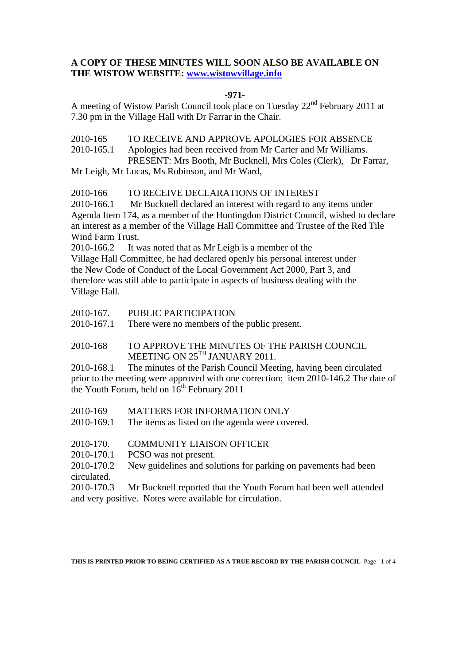# **A COPY OF THESE MINUTES WILL SOON ALSO BE AVAILABLE ON THE WISTOW WEBSITE: www.wistowvillage.info**

### **-971-**

A meeting of Wistow Parish Council took place on Tuesday 22nd February 2011 at 7.30 pm in the Village Hall with Dr Farrar in the Chair.

2010-165 TO RECEIVE AND APPROVE APOLOGIES FOR ABSENCE 2010-165.1 Apologies had been received from Mr Carter and Mr Williams. PRESENT: Mrs Booth, Mr Bucknell, Mrs Coles (Clerk), Dr Farrar,

Mr Leigh, Mr Lucas, Ms Robinson, and Mr Ward,

## 2010-166 TO RECEIVE DECLARATIONS OF INTEREST

2010-166.1 Mr Bucknell declared an interest with regard to any items under Agenda Item 174, as a member of the Huntingdon District Council, wished to declare an interest as a member of the Village Hall Committee and Trustee of the Red Tile Wind Farm Trust.

2010-166.2 It was noted that as Mr Leigh is a member of the Village Hall Committee, he had declared openly his personal interest under the New Code of Conduct of the Local Government Act 2000, Part 3, and therefore was still able to participate in aspects of business dealing with the Village Hall.

2010-167. PUBLIC PARTICIPATION<br>2010-167.1 There were no members of the

There were no members of the public present.

# 2010-168 TO APPROVE THE MINUTES OF THE PARISH COUNCIL MEETING ON 25<sup>TH</sup> JANUARY 2011.

2010-168.1 The minutes of the Parish Council Meeting, having been circulated prior to the meeting were approved with one correction: item 2010-146.2 The date of the Youth Forum, held on  $16<sup>th</sup>$  February 2011

- 2010-169 MATTERS FOR INFORMATION ONLY
- 2010-169.1 The items as listed on the agenda were covered.
- 2010-170. COMMUNITY LIAISON OFFICER
- 2010-170.1 PCSO was not present.

2010-170.2 New guidelines and solutions for parking on pavements had been circulated.

2010-170.3 Mr Bucknell reported that the Youth Forum had been well attended and very positive. Notes were available for circulation.

**THIS IS PRINTED PRIOR TO BEING CERTIFIED AS A TRUE RECORD BY THE PARISH COUNCIL** Page 1 of 4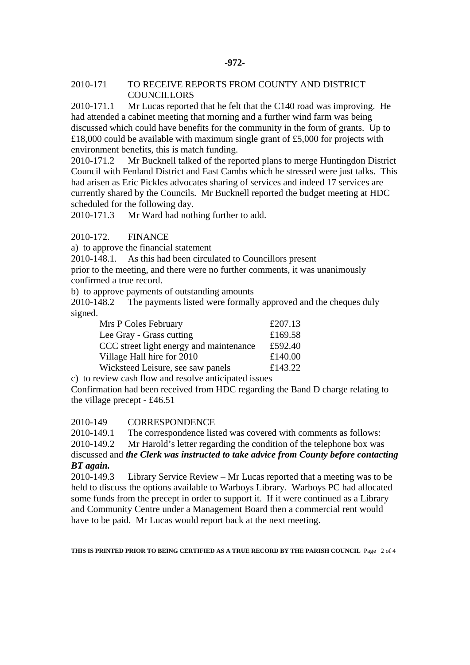#### 2010-171 TO RECEIVE REPORTS FROM COUNTY AND DISTRICT **COUNCILLORS**

2010-171.1 Mr Lucas reported that he felt that the C140 road was improving. He had attended a cabinet meeting that morning and a further wind farm was being discussed which could have benefits for the community in the form of grants. Up to £18,000 could be available with maximum single grant of £5,000 for projects with environment benefits, this is match funding.

2010-171.2 Mr Bucknell talked of the reported plans to merge Huntingdon District Council with Fenland District and East Cambs which he stressed were just talks. This had arisen as Eric Pickles advocates sharing of services and indeed 17 services are currently shared by the Councils. Mr Bucknell reported the budget meeting at HDC scheduled for the following day.

2010-171.3 Mr Ward had nothing further to add.

## 2010-172. FINANCE

a) to approve the financial statement

2010-148.1. As this had been circulated to Councillors present

prior to the meeting, and there were no further comments, it was unanimously confirmed a true record.

b) to approve payments of outstanding amounts

2010-148.2 The payments listed were formally approved and the cheques duly signed.

| Mrs P Coles February                                  | £207.13 |
|-------------------------------------------------------|---------|
| Lee Gray - Grass cutting                              | £169.58 |
| CCC street light energy and maintenance               | £592.40 |
| Village Hall hire for 2010                            | £140.00 |
| Wicksteed Leisure, see saw panels                     | £143.22 |
| c) to review cash flow and resolve anticipated issues |         |

Confirmation had been received from HDC regarding the Band D charge relating to the village precept - £46.51

#### 2010-149 CORRESPONDENCE

2010-149.1 The correspondence listed was covered with comments as follows:

2010-149.2 Mr Harold's letter regarding the condition of the telephone box was

discussed and *the Clerk was instructed to take advice from County before contacting BT again.* 

2010-149.3 Library Service Review – Mr Lucas reported that a meeting was to be held to discuss the options available to Warboys Library. Warboys PC had allocated some funds from the precept in order to support it. If it were continued as a Library and Community Centre under a Management Board then a commercial rent would have to be paid. Mr Lucas would report back at the next meeting.

**THIS IS PRINTED PRIOR TO BEING CERTIFIED AS A TRUE RECORD BY THE PARISH COUNCIL** Page 2 of 4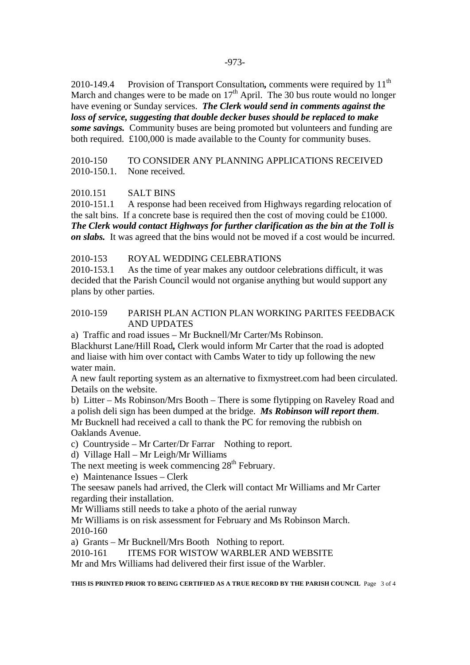2010-149.4 Provision of Transport Consultation, comments were required by 11<sup>th</sup> March and changes were to be made on  $17<sup>th</sup>$  April. The 30 bus route would no longer have evening or Sunday services. *The Clerk would send in comments against the loss of service, suggesting that double decker buses should be replaced to make some savings.* Community buses are being promoted but volunteers and funding are both required. £100,000 is made available to the County for community buses.

# 2010-150 TO CONSIDER ANY PLANNING APPLICATIONS RECEIVED 2010-150.1. None received.

## 2010.151 SALT BINS

2010-151.1 A response had been received from Highways regarding relocation of the salt bins. If a concrete base is required then the cost of moving could be £1000. *The Clerk would contact Highways for further clarification as the bin at the Toll is on slabs.* It was agreed that the bins would not be moved if a cost would be incurred.

## 2010-153 ROYAL WEDDING CELEBRATIONS

2010-153.1 As the time of year makes any outdoor celebrations difficult, it was decided that the Parish Council would not organise anything but would support any plans by other parties.

## 2010-159 PARISH PLAN ACTION PLAN WORKING PARITES FEEDBACK AND UPDATES

a) Traffic and road issues – Mr Bucknell/Mr Carter/Ms Robinson.

Blackhurst Lane/Hill Road*,* Clerk would inform Mr Carter that the road is adopted and liaise with him over contact with Cambs Water to tidy up following the new water main.

A new fault reporting system as an alternative to fixmystreet.com had been circulated. Details on the website.

b) Litter – Ms Robinson/Mrs Booth – There is some flytipping on Raveley Road and a polish deli sign has been dumped at the bridge. *Ms Robinson will report them*. Mr Bucknell had received a call to thank the PC for removing the rubbish on Oaklands Avenue.

c) Countryside – Mr Carter/Dr Farrar Nothing to report.

d) Village Hall – Mr Leigh/Mr Williams

The next meeting is week commencing  $28<sup>th</sup>$  February.

e) Maintenance Issues – Clerk

The seesaw panels had arrived, the Clerk will contact Mr Williams and Mr Carter regarding their installation.

Mr Williams still needs to take a photo of the aerial runway

Mr Williams is on risk assessment for February and Ms Robinson March. 2010-160

a) Grants – Mr Bucknell/Mrs Booth Nothing to report.

2010-161 ITEMS FOR WISTOW WARBLER AND WEBSITE

Mr and Mrs Williams had delivered their first issue of the Warbler.

**THIS IS PRINTED PRIOR TO BEING CERTIFIED AS A TRUE RECORD BY THE PARISH COUNCIL** Page 3 of 4